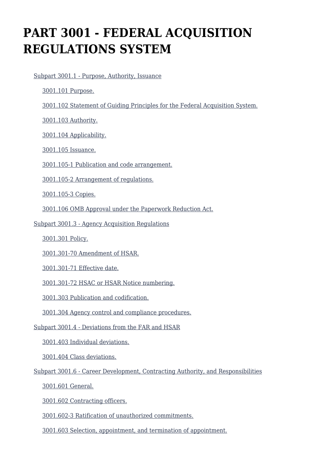# **PART 3001 - FEDERAL ACQUISITION REGULATIONS SYSTEM**

[Subpart 3001.1 - Purpose, Authority, Issuance](https://origin-www.acquisition.gov/%5Brp:link:hsar-part-3001%5D#Subpart_3001_1_T48_702821)

[3001.101 Purpose.](https://origin-www.acquisition.gov/%5Brp:link:hsar-part-3001%5D#Section_3001_101_T48_70282111)

[3001.102 Statement of Guiding Principles for the Federal Acquisition System.](https://origin-www.acquisition.gov/%5Brp:link:hsar-part-3001%5D#Section_3001_102_T48_70282112)

[3001.103 Authority.](https://origin-www.acquisition.gov/%5Brp:link:hsar-part-3001%5D#Section_3001_103_T48_70282113)

[3001.104 Applicability.](https://origin-www.acquisition.gov/%5Brp:link:hsar-part-3001%5D#Section_3001_104_T48_70282114)

[3001.105 Issuance.](https://origin-www.acquisition.gov/%5Brp:link:hsar-part-3001%5D#Section_3001_105_T48_70282115)

[3001.105-1 Publication and code arrangement.](https://origin-www.acquisition.gov/%5Brp:link:hsar-part-3001%5D#Section_3001_105_1_T48_70282116)

[3001.105-2 Arrangement of regulations.](https://origin-www.acquisition.gov/%5Brp:link:hsar-part-3001%5D#Section_3001_105_2_T48_70282117)

[3001.105-3 Copies.](https://origin-www.acquisition.gov/%5Brp:link:hsar-part-3001%5D#Section_3001_105_3_T48_70282118)

[3001.106 OMB Approval under the Paperwork Reduction Act.](https://origin-www.acquisition.gov/%5Brp:link:hsar-part-3001%5D#Section_3001_106_T48_70282119)

#### [Subpart 3001.3 - Agency Acquisition Regulations](https://origin-www.acquisition.gov/%5Brp:link:hsar-part-3001%5D#Subpart_3001_3_T48_702822)

[3001.301 Policy.](https://origin-www.acquisition.gov/%5Brp:link:hsar-part-3001%5D#Section_3001_301_T48_70282211)

[3001.301-70 Amendment of HSAR.](https://origin-www.acquisition.gov/%5Brp:link:hsar-part-3001%5D#Section_3001_301_70_T48_70282212)

[3001.301-71 Effective date.](https://origin-www.acquisition.gov/%5Brp:link:hsar-part-3001%5D#Section_3001_301_71_T48_70282213)

[3001.301-72 HSAC or HSAR Notice numbering.](https://origin-www.acquisition.gov/%5Brp:link:hsar-part-3001%5D#Section_3001_301_72_T48_70282214)

[3001.303 Publication and codification.](https://origin-www.acquisition.gov/%5Brp:link:hsar-part-3001%5D#Section_3001_303_T48_70282215)

[3001.304 Agency control and compliance procedures.](https://origin-www.acquisition.gov/%5Brp:link:hsar-part-3001%5D#Section_3001_304_T48_70282216)

[Subpart 3001.4 - Deviations from the FAR and HSAR](https://origin-www.acquisition.gov/%5Brp:link:hsar-part-3001%5D#Subpart_3001_4_T48_702823)

[3001.403 Individual deviations.](https://origin-www.acquisition.gov/%5Brp:link:hsar-part-3001%5D#Section_3001_403_T48_70282311)

[3001.404 Class deviations.](https://origin-www.acquisition.gov/%5Brp:link:hsar-part-3001%5D#Section_3001_404_T48_70282312)

[Subpart 3001.6 - Career Development, Contracting Authority, and Responsibilities](https://origin-www.acquisition.gov/%5Brp:link:hsar-part-3001%5D#Subpart_3001_6_T48_702824)

[3001.601 General.](https://origin-www.acquisition.gov/%5Brp:link:hsar-part-3001%5D#Section_3001_601_T48_70282411)

[3001.602 Contracting officers.](https://origin-www.acquisition.gov/%5Brp:link:hsar-part-3001%5D#Section_3001_602_T48_70282412)

[3001.602-3 Ratification of unauthorized commitments.](https://origin-www.acquisition.gov/%5Brp:link:hsar-part-3001%5D#Section_3001_602_3_T48_70282413)

[3001.603 Selection, appointment, and termination of appointment.](https://origin-www.acquisition.gov/%5Brp:link:hsar-part-3001%5D#Section_3001_603_T48_70282414)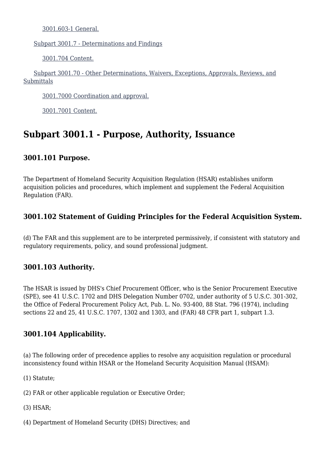[3001.603-1 General.](https://origin-www.acquisition.gov/%5Brp:link:hsar-part-3001%5D#Section_3001_603_1_T48_70282415)

[Subpart 3001.7 - Determinations and Findings](https://origin-www.acquisition.gov/%5Brp:link:hsar-part-3001%5D#Subpart_3001_7_T48_702825)

[3001.704 Content.](https://origin-www.acquisition.gov/%5Brp:link:hsar-part-3001%5D#Section_3001_704_T48_70282511)

 [Subpart 3001.70 - Other Determinations, Waivers, Exceptions, Approvals, Reviews, and](https://origin-www.acquisition.gov/%5Brp:link:hsar-part-3001%5D#Subpart_3001_70_T48_702826) **[Submittals](https://origin-www.acquisition.gov/%5Brp:link:hsar-part-3001%5D#Subpart_3001_70_T48_702826)** 

[3001.7000 Coordination and approval.](https://origin-www.acquisition.gov/%5Brp:link:hsar-part-3001%5D#Section_3001_7000_T48_70282611)

[3001.7001 Content.](https://origin-www.acquisition.gov/%5Brp:link:hsar-part-3001%5D#Section_3001_7001_T48_70282612)

### **Subpart 3001.1 - Purpose, Authority, Issuance**

#### **3001.101 Purpose.**

The Department of Homeland Security Acquisition Regulation (HSAR) establishes uniform acquisition policies and procedures, which implement and supplement the Federal Acquisition Regulation (FAR).

#### **3001.102 Statement of Guiding Principles for the Federal Acquisition System.**

(d) The FAR and this supplement are to be interpreted permissively, if consistent with statutory and regulatory requirements, policy, and sound professional judgment.

#### **3001.103 Authority.**

The HSAR is issued by DHS's Chief Procurement Officer, who is the Senior Procurement Executive (SPE), see 41 U.S.C. 1702 and DHS Delegation Number 0702, under authority of 5 U.S.C. 301-302, the Office of Federal Procurement Policy Act, Pub. L. No. 93-400, 88 Stat. 796 (1974), including sections 22 and 25, 41 U.S.C. 1707, 1302 and 1303, and (FAR) 48 CFR part 1, subpart 1.3.

#### **3001.104 Applicability.**

(a) The following order of precedence applies to resolve any acquisition regulation or procedural inconsistency found within HSAR or the Homeland Security Acquisition Manual (HSAM):

(1) Statute;

(2) FAR or other applicable regulation or Executive Order;

- (3) HSAR;
- (4) Department of Homeland Security (DHS) Directives; and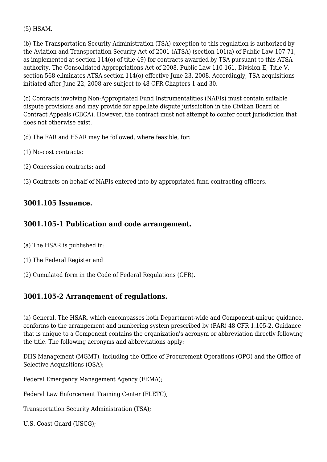(5) HSAM.

(b) The Transportation Security Administration (TSA) exception to this regulation is authorized by the Aviation and Transportation Security Act of 2001 (ATSA) (section 101(a) of Public Law 107-71, as implemented at section 114(o) of title 49) for contracts awarded by TSA pursuant to this ATSA authority. The Consolidated Appropriations Act of 2008, Public Law 110-161, Division E, Title V, section 568 eliminates ATSA section 114(o) effective June 23, 2008. Accordingly, TSA acquisitions initiated after June 22, 2008 are subject to 48 CFR Chapters 1 and 30.

(c) Contracts involving Non-Appropriated Fund Instrumentalities (NAFIs) must contain suitable dispute provisions and may provide for appellate dispute jurisdiction in the Civilian Board of Contract Appeals (CBCA). However, the contract must not attempt to confer court jurisdiction that does not otherwise exist.

(d) The FAR and HSAR may be followed, where feasible, for:

- (1) No-cost contracts;
- (2) Concession contracts; and
- (3) Contracts on behalf of NAFIs entered into by appropriated fund contracting officers.

#### **3001.105 Issuance.**

#### **3001.105-1 Publication and code arrangement.**

- (a) The HSAR is published in:
- (1) The Federal Register and
- (2) Cumulated form in the Code of Federal Regulations (CFR).

#### **3001.105-2 Arrangement of regulations.**

(a) General. The HSAR, which encompasses both Department-wide and Component-unique guidance, conforms to the arrangement and numbering system prescribed by (FAR) 48 CFR 1.105-2. Guidance that is unique to a Component contains the organization's acronym or abbreviation directly following the title. The following acronyms and abbreviations apply:

DHS Management (MGMT), including the Office of Procurement Operations (OPO) and the Office of Selective Acquisitions (OSA);

Federal Emergency Management Agency (FEMA);

Federal Law Enforcement Training Center (FLETC);

Transportation Security Administration (TSA);

U.S. Coast Guard (USCG);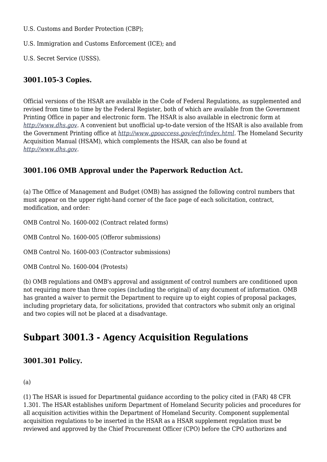U.S. Customs and Border Protection (CBP);

U.S. Immigration and Customs Enforcement (ICE); and

U.S. Secret Service (USSS).

#### **3001.105-3 Copies.**

Official versions of the HSAR are available in the Code of Federal Regulations, as supplemented and revised from time to time by the Federal Register, both of which are available from the Government Printing Office in paper and electronic form. The HSAR is also available in electronic form at *[http://www.dhs.gov.](http://www.dhs.gov)* A convenient but unofficial up-to-date version of the HSAR is also available from the Government Printing office at *[http://www.gpoaccess.gov/ecfr/index.html.](http://www.gpoaccess.gov/ecfr/index.html)* The Homeland Security Acquisition Manual (HSAM), which complements the HSAR, can also be found at *[http://www.dhs.gov.](http://www.dhs.gov)*

#### **3001.106 OMB Approval under the Paperwork Reduction Act.**

(a) The Office of Management and Budget (OMB) has assigned the following control numbers that must appear on the upper right-hand corner of the face page of each solicitation, contract, modification, and order:

OMB Control No. 1600-002 (Contract related forms)

OMB Control No. 1600-005 (Offeror submissions)

OMB Control No. 1600-003 (Contractor submissions)

OMB Control No. 1600-004 (Protests)

(b) OMB regulations and OMB's approval and assignment of control numbers are conditioned upon not requiring more than three copies (including the original) of any document of information. OMB has granted a waiver to permit the Department to require up to eight copies of proposal packages, including proprietary data, for solicitations, provided that contractors who submit only an original and two copies will not be placed at a disadvantage.

## **Subpart 3001.3 - Agency Acquisition Regulations**

#### **3001.301 Policy.**

(a)

(1) The HSAR is issued for Departmental guidance according to the policy cited in (FAR) 48 CFR 1.301. The HSAR establishes uniform Department of Homeland Security policies and procedures for all acquisition activities within the Department of Homeland Security. Component supplemental acquisition regulations to be inserted in the HSAR as a HSAR supplement regulation must be reviewed and approved by the Chief Procurement Officer (CPO) before the CPO authorizes and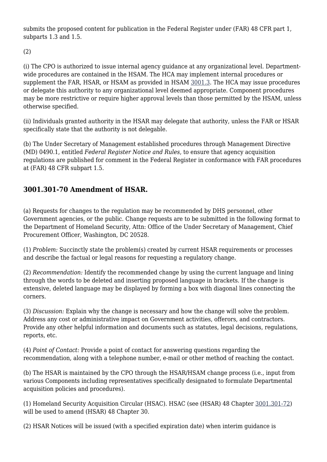submits the proposed content for publication in the Federal Register under (FAR) 48 CFR part 1, subparts 1.3 and 1.5.

(2)

(i) The CPO is authorized to issue internal agency guidance at any organizational level. Departmentwide procedures are contained in the HSAM. The HCA may implement internal procedures or supplement the FAR, HSAR, or HSAM as provided in HSAM [3001.3](https://origin-www.acquisition.gov/%5Brp:link:hsar-part-3001%5D#Subpart_3001_3_T48_702822). The HCA may issue procedures or delegate this authority to any organizational level deemed appropriate. Component procedures may be more restrictive or require higher approval levels than those permitted by the HSAM, unless otherwise specified.

(ii) Individuals granted authority in the HSAR may delegate that authority, unless the FAR or HSAR specifically state that the authority is not delegable.

(b) The Under Secretary of Management established procedures through Management Directive (MD) 0490.1, entitled *Federal Register Notice and Rules,* to ensure that agency acquisition regulations are published for comment in the Federal Register in conformance with FAR procedures at (FAR) 48 CFR subpart 1.5.

#### **3001.301-70 Amendment of HSAR.**

(a) Requests for changes to the regulation may be recommended by DHS personnel, other Government agencies, or the public. Change requests are to be submitted in the following format to the Department of Homeland Security, Attn: Office of the Under Secretary of Management, Chief Procurement Officer, Washington, DC 20528.

(1) *Problem:* Succinctly state the problem(s) created by current HSAR requirements or processes and describe the factual or legal reasons for requesting a regulatory change.

(2) *Recommendation:* Identify the recommended change by using the current language and lining through the words to be deleted and inserting proposed language in brackets. If the change is extensive, deleted language may be displayed by forming a box with diagonal lines connecting the corners.

(3) *Discussion:* Explain why the change is necessary and how the change will solve the problem. Address any cost or administrative impact on Government activities, offerors, and contractors. Provide any other helpful information and documents such as statutes, legal decisions, regulations, reports, etc.

(4) *Point of Contact:* Provide a point of contact for answering questions regarding the recommendation, along with a telephone number, e-mail or other method of reaching the contact.

(b) The HSAR is maintained by the CPO through the HSAR/HSAM change process (i.e., input from various Components including representatives specifically designated to formulate Departmental acquisition policies and procedures).

(1) Homeland Security Acquisition Circular (HSAC). HSAC (see (HSAR) 48 Chapter [3001.301-72](https://origin-www.acquisition.gov/%5Brp:link:hsar-part-3001%5D#Section_3001_301_72_T48_70282214)) will be used to amend (HSAR) 48 Chapter 30.

(2) HSAR Notices will be issued (with a specified expiration date) when interim guidance is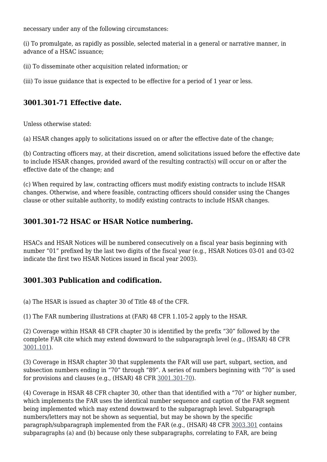necessary under any of the following circumstances:

(i) To promulgate, as rapidly as possible, selected material in a general or narrative manner, in advance of a HSAC issuance;

(ii) To disseminate other acquisition related information; or

(iii) To issue guidance that is expected to be effective for a period of 1 year or less.

#### **3001.301-71 Effective date.**

Unless otherwise stated:

(a) HSAR changes apply to solicitations issued on or after the effective date of the change;

(b) Contracting officers may, at their discretion, amend solicitations issued before the effective date to include HSAR changes, provided award of the resulting contract(s) will occur on or after the effective date of the change; and

(c) When required by law, contracting officers must modify existing contracts to include HSAR changes. Otherwise, and where feasible, contracting officers should consider using the Changes clause or other suitable authority, to modify existing contracts to include HSAR changes.

#### **3001.301-72 HSAC or HSAR Notice numbering.**

HSACs and HSAR Notices will be numbered consecutively on a fiscal year basis beginning with number "01" prefixed by the last two digits of the fiscal year (e.g., HSAR Notices 03-01 and 03-02 indicate the first two HSAR Notices issued in fiscal year 2003).

#### **3001.303 Publication and codification.**

(a) The HSAR is issued as chapter 30 of Title 48 of the CFR.

(1) The FAR numbering illustrations at (FAR) 48 CFR 1.105-2 apply to the HSAR.

(2) Coverage within HSAR 48 CFR chapter 30 is identified by the prefix "30" followed by the complete FAR cite which may extend downward to the subparagraph level (e.g., (HSAR) 48 CFR [3001.101\)](https://origin-www.acquisition.gov/%5Brp:link:hsar-part-3001%5D#Section_3001_101_T48_70282111).

(3) Coverage in HSAR chapter 30 that supplements the FAR will use part, subpart, section, and subsection numbers ending in "70" through "89". A series of numbers beginning with "70" is used for provisions and clauses (e.g., (HSAR) 48 CFR [3001.301-70\)](https://origin-www.acquisition.gov/%5Brp:link:hsar-part-3001%5D#Section_3001_301_70_T48_70282212).

(4) Coverage in HSAR 48 CFR chapter 30, other than that identified with a "70" or higher number, which implements the FAR uses the identical number sequence and caption of the FAR segment being implemented which may extend downward to the subparagraph level. Subparagraph numbers/letters may not be shown as sequential, but may be shown by the specific paragraph/subparagraph implemented from the FAR (e.g., (HSAR) 48 CFR [3003.301](https://origin-www.acquisition.gov/%5Brp:link:hsar-part-3003%5D#Section_3003_301_T48_70284311) contains subparagraphs (a) and (b) because only these subparagraphs, correlating to FAR, are being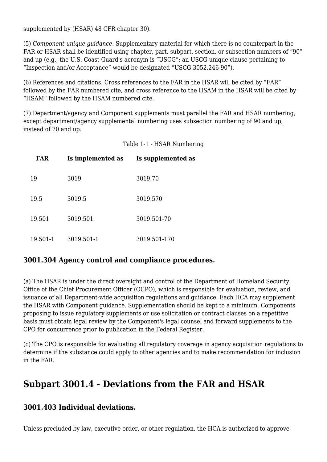supplemented by (HSAR) 48 CFR chapter 30).

(5) *Component-unique guidance.* Supplementary material for which there is no counterpart in the FAR or HSAR shall be identified using chapter, part, subpart, section, or subsection numbers of "90" and up (e.g., the U.S. Coast Guard's acronym is "USCG"; an USCG-unique clause pertaining to "Inspection and/or Acceptance" would be designated "USCG 3052.246-90").

(6) References and citations. Cross references to the FAR in the HSAR will be cited by "FAR" followed by the FAR numbered cite, and cross reference to the HSAM in the HSAR will be cited by "HSAM" followed by the HSAM numbered cite.

(7) Department/agency and Component supplements must parallel the FAR and HSAR numbering, except department/agency supplemental numbering uses subsection numbering of 90 and up, instead of 70 and up.

Table 1-1 - HSAR Numbering

| <b>FAR</b> | Is implemented as | Is supplemented as |
|------------|-------------------|--------------------|
| 19         | 3019              | 3019.70            |
| 19.5       | 3019.5            | 3019.570           |
| 19.501     | 3019.501          | 3019.501-70        |
| 19.501-1   | 3019.501-1        | 3019.501-170       |

#### **3001.304 Agency control and compliance procedures.**

(a) The HSAR is under the direct oversight and control of the Department of Homeland Security, Office of the Chief Procurement Officer (OCPO), which is responsible for evaluation, review, and issuance of all Department-wide acquisition regulations and guidance. Each HCA may supplement the HSAR with Component guidance. Supplementation should be kept to a minimum. Components proposing to issue regulatory supplements or use solicitation or contract clauses on a repetitive basis must obtain legal review by the Component's legal counsel and forward supplements to the CPO for concurrence prior to publication in the Federal Register.

(c) The CPO is responsible for evaluating all regulatory coverage in agency acquisition regulations to determine if the substance could apply to other agencies and to make recommendation for inclusion in the FAR.

### **Subpart 3001.4 - Deviations from the FAR and HSAR**

#### **3001.403 Individual deviations.**

Unless precluded by law, executive order, or other regulation, the HCA is authorized to approve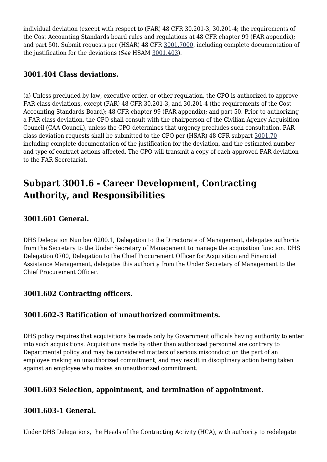individual deviation (except with respect to (FAR) 48 CFR 30.201-3, 30.201-4; the requirements of the Cost Accounting Standards board rules and regulations at 48 CFR chapter 99 (FAR appendix); and part 50). Submit requests per (HSAR) 48 CFR [3001.7000,](https://origin-www.acquisition.gov/%5Brp:link:hsar-part-3001%5D#Section_3001_7000_T48_70282611) including complete documentation of the justification for the deviations (*See* HSAM [3001.403](https://origin-www.acquisition.gov/%5Brp:link:hsar-part-3001%5D#Section_3001_403_T48_70282311)).

#### **3001.404 Class deviations.**

(a) Unless precluded by law, executive order, or other regulation, the CPO is authorized to approve FAR class deviations, except (FAR) 48 CFR 30.201-3, and 30.201-4 (the requirements of the Cost Accounting Standards Board); 48 CFR chapter 99 (FAR appendix); and part 50. Prior to authorizing a FAR class deviation, the CPO shall consult with the chairperson of the Civilian Agency Acquisition Council (CAA Council), unless the CPO determines that urgency precludes such consultation. FAR class deviation requests shall be submitted to the CPO per (HSAR) 48 CFR subpart [3001.70](https://origin-www.acquisition.gov/%5Brp:link:hsar-part-3001%5D#Subpart_3001_70_T48_702826) including complete documentation of the justification for the deviation, and the estimated number and type of contract actions affected. The CPO will transmit a copy of each approved FAR deviation to the FAR Secretariat.

## **Subpart 3001.6 - Career Development, Contracting Authority, and Responsibilities**

#### **3001.601 General.**

DHS Delegation Number 0200.1, Delegation to the Directorate of Management, delegates authority from the Secretary to the Under Secretary of Management to manage the acquisition function. DHS Delegation 0700, Delegation to the Chief Procurement Officer for Acquisition and Financial Assistance Management, delegates this authority from the Under Secretary of Management to the Chief Procurement Officer.

#### **3001.602 Contracting officers.**

#### **3001.602-3 Ratification of unauthorized commitments.**

DHS policy requires that acquisitions be made only by Government officials having authority to enter into such acquisitions. Acquisitions made by other than authorized personnel are contrary to Departmental policy and may be considered matters of serious misconduct on the part of an employee making an unauthorized commitment, and may result in disciplinary action being taken against an employee who makes an unauthorized commitment.

#### **3001.603 Selection, appointment, and termination of appointment.**

#### **3001.603-1 General.**

Under DHS Delegations, the Heads of the Contracting Activity (HCA), with authority to redelegate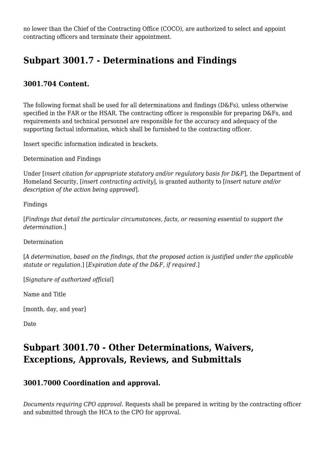no lower than the Chief of the Contracting Office (COCO), are authorized to select and appoint contracting officers and terminate their appointment.

## **Subpart 3001.7 - Determinations and Findings**

#### **3001.704 Content.**

The following format shall be used for all determinations and findings (D&Fs), unless otherwise specified in the FAR or the HSAR. The contracting officer is responsible for preparing D&Fs, and requirements and technical personnel are responsible for the accuracy and adequacy of the supporting factual information, which shall be furnished to the contracting officer.

Insert specific information indicated in brackets.

Determination and Findings

Under [*insert citation for appropriate statutory and/or regulatory basis for D&F*], the Department of Homeland Security, [*insert contracting activity*], is granted authority to [*insert nature and/or description of the action being approved*].

Findings

[*Findings that detail the particular circumstances, facts, or reasoning essential to support the determination.*]

Determination

[*A determination, based on the findings, that the proposed action is justified under the applicable statute or regulation.*] [*Expiration date of the D&F, if required.*]

[*Signature of authorized official*]

Name and Title

[month, day, and year]

Date

### **Subpart 3001.70 - Other Determinations, Waivers, Exceptions, Approvals, Reviews, and Submittals**

#### **3001.7000 Coordination and approval.**

*Documents requiring CPO approval.* Requests shall be prepared in writing by the contracting officer and submitted through the HCA to the CPO for approval.